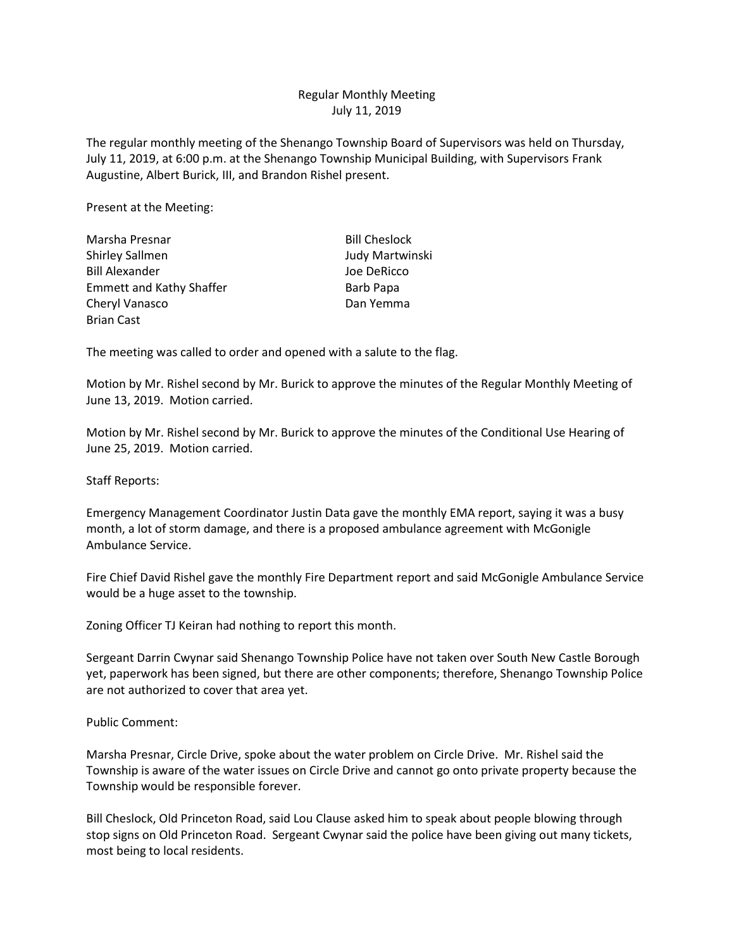## Regular Monthly Meeting July 11, 2019

The regular monthly meeting of the Shenango Township Board of Supervisors was held on Thursday, July 11, 2019, at 6:00 p.m. at the Shenango Township Municipal Building, with Supervisors Frank Augustine, Albert Burick, III, and Brandon Rishel present.

Present at the Meeting:

| Marsha Presnar                  | <b>Bill Cheslock</b> |
|---------------------------------|----------------------|
| Shirley Sallmen                 | Judy Martwinski      |
| <b>Bill Alexander</b>           | Joe DeRicco          |
| <b>Emmett and Kathy Shaffer</b> | <b>Barb Papa</b>     |
| Cheryl Vanasco                  | Dan Yemma            |
| <b>Brian Cast</b>               |                      |

The meeting was called to order and opened with a salute to the flag.

Motion by Mr. Rishel second by Mr. Burick to approve the minutes of the Regular Monthly Meeting of June 13, 2019. Motion carried.

Motion by Mr. Rishel second by Mr. Burick to approve the minutes of the Conditional Use Hearing of June 25, 2019. Motion carried.

Staff Reports:

Emergency Management Coordinator Justin Data gave the monthly EMA report, saying it was a busy month, a lot of storm damage, and there is a proposed ambulance agreement with McGonigle Ambulance Service.

Fire Chief David Rishel gave the monthly Fire Department report and said McGonigle Ambulance Service would be a huge asset to the township.

Zoning Officer TJ Keiran had nothing to report this month.

Sergeant Darrin Cwynar said Shenango Township Police have not taken over South New Castle Borough yet, paperwork has been signed, but there are other components; therefore, Shenango Township Police are not authorized to cover that area yet.

Public Comment:

Marsha Presnar, Circle Drive, spoke about the water problem on Circle Drive. Mr. Rishel said the Township is aware of the water issues on Circle Drive and cannot go onto private property because the Township would be responsible forever.

Bill Cheslock, Old Princeton Road, said Lou Clause asked him to speak about people blowing through stop signs on Old Princeton Road. Sergeant Cwynar said the police have been giving out many tickets, most being to local residents.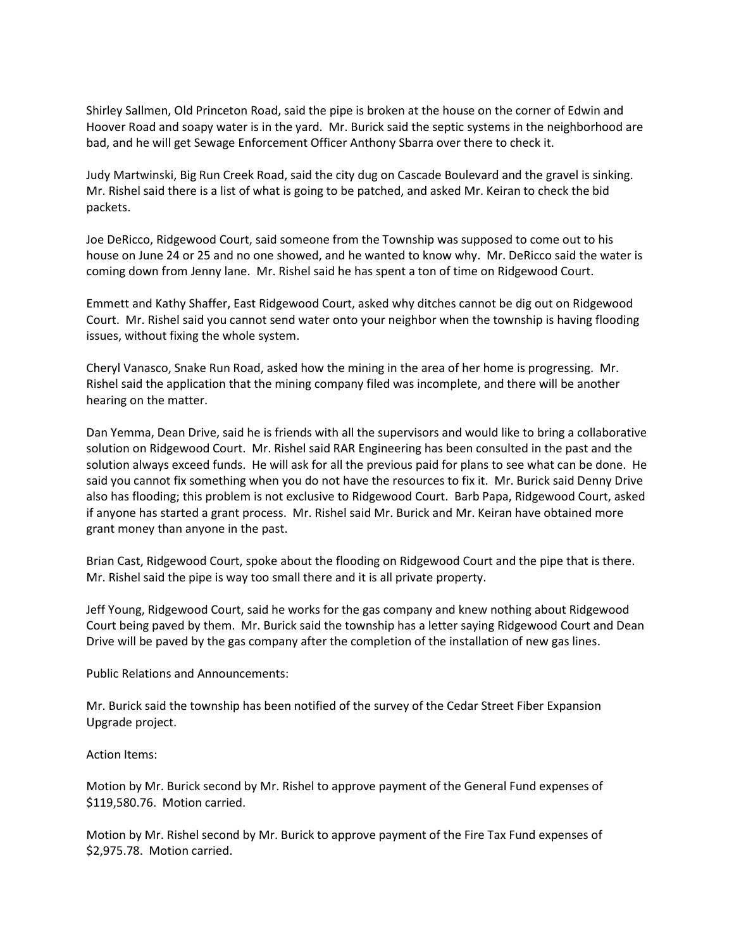Shirley Sallmen, Old Princeton Road, said the pipe is broken at the house on the corner of Edwin and Hoover Road and soapy water is in the yard. Mr. Burick said the septic systems in the neighborhood are bad, and he will get Sewage Enforcement Officer Anthony Sbarra over there to check it.

Judy Martwinski, Big Run Creek Road, said the city dug on Cascade Boulevard and the gravel is sinking. Mr. Rishel said there is a list of what is going to be patched, and asked Mr. Keiran to check the bid packets.

Joe DeRicco, Ridgewood Court, said someone from the Township was supposed to come out to his house on June 24 or 25 and no one showed, and he wanted to know why. Mr. DeRicco said the water is coming down from Jenny lane. Mr. Rishel said he has spent a ton of time on Ridgewood Court.

Emmett and Kathy Shaffer, East Ridgewood Court, asked why ditches cannot be dig out on Ridgewood Court. Mr. Rishel said you cannot send water onto your neighbor when the township is having flooding issues, without fixing the whole system.

Cheryl Vanasco, Snake Run Road, asked how the mining in the area of her home is progressing. Mr. Rishel said the application that the mining company filed was incomplete, and there will be another hearing on the matter.

Dan Yemma, Dean Drive, said he is friends with all the supervisors and would like to bring a collaborative solution on Ridgewood Court. Mr. Rishel said RAR Engineering has been consulted in the past and the solution always exceed funds. He will ask for all the previous paid for plans to see what can be done. He said you cannot fix something when you do not have the resources to fix it. Mr. Burick said Denny Drive also has flooding; this problem is not exclusive to Ridgewood Court. Barb Papa, Ridgewood Court, asked if anyone has started a grant process. Mr. Rishel said Mr. Burick and Mr. Keiran have obtained more grant money than anyone in the past.

Brian Cast, Ridgewood Court, spoke about the flooding on Ridgewood Court and the pipe that is there. Mr. Rishel said the pipe is way too small there and it is all private property.

Jeff Young, Ridgewood Court, said he works for the gas company and knew nothing about Ridgewood Court being paved by them. Mr. Burick said the township has a letter saying Ridgewood Court and Dean Drive will be paved by the gas company after the completion of the installation of new gas lines.

Public Relations and Announcements:

Mr. Burick said the township has been notified of the survey of the Cedar Street Fiber Expansion Upgrade project.

Action Items:

Motion by Mr. Burick second by Mr. Rishel to approve payment of the General Fund expenses of \$119,580.76. Motion carried.

Motion by Mr. Rishel second by Mr. Burick to approve payment of the Fire Tax Fund expenses of \$2,975.78. Motion carried.